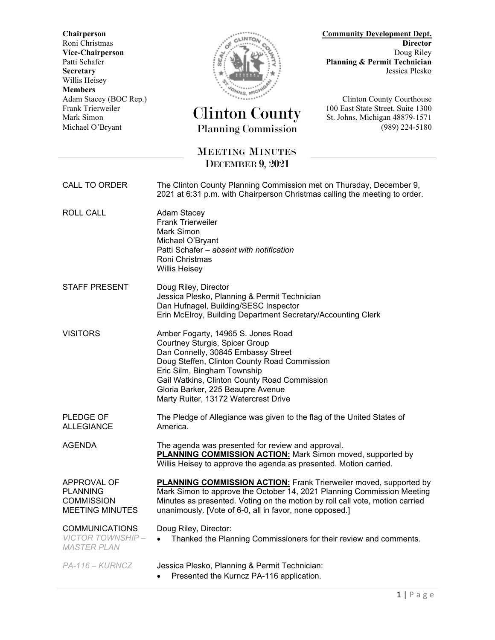**Chairperson Community Development Dept. Secretary** Jessica Plesko Willis Heisey **Members**



## Roni Christmas **Director Vice-Chairperson** Doug Riley<br>Patti Schafer **Doug Riley**<br>Planning & Permit Technician Planning & Permit Technician

Frank Trierweiler Clinton County 100 East State Street, Suite 1300 Mark Simon St. Johns, Michigan 48879-1571

Adam Stacey (BOC Rep.) **Clinton County Courthouse** Michael O'Bryant Planning Commission (989) 224-5180

## MEETING MINUTES DECEMBER 9, 2021

CALL TO ORDER The Clinton County Planning Commission met on Thursday, December 9, 2021 at 6:31 p.m. with Chairperson Christmas calling the meeting to order.

- ROLL CALL Adam Stacey Frank Trierweiler Mark Simon Michael O'Bryant Patti Schafer – *absent with notification* Roni Christmas Willis Heisey
- STAFF PRESENT Doug Riley, Director Jessica Plesko, Planning & Permit Technician Dan Hufnagel, Building/SESC Inspector Erin McElroy, Building Department Secretary/Accounting Clerk
- VISITORS Amber Fogarty, 14965 S. Jones Road Courtney Sturgis, Spicer Group Dan Connelly, 30845 Embassy Street Doug Steffen, Clinton County Road Commission Eric Silm, Bingham Township Gail Watkins, Clinton County Road Commission Gloria Barker, 225 Beaupre Avenue Marty Ruiter, 13172 Watercrest Drive
- PLEDGE OF ALLEGIANCE The Pledge of Allegiance was given to the flag of the United States of America.
- AGENDA The agenda was presented for review and approval. **PLANNING COMMISSION ACTION:** Mark Simon moved, supported by Willis Heisey to approve the agenda as presented. Motion carried.

APPROVAL OF PLANNING **COMMISSION** MEETING MINUTES **PLANNING COMMISSION ACTION:** Frank Trierweiler moved, supported by Mark Simon to approve the October 14, 2021 Planning Commission Meeting Minutes as presented. Voting on the motion by roll call vote, motion carried unanimously. [Vote of 6-0, all in favor, none opposed.]

## COMMUNICATIONS *VICTOR TOWNSHIP –*

Doug Riley, Director: • Thanked the Planning Commissioners for their review and comments.

*MASTER PLAN*

*PA-116 – KURNCZ* Jessica Plesko, Planning & Permit Technician:

• Presented the Kurncz PA-116 application.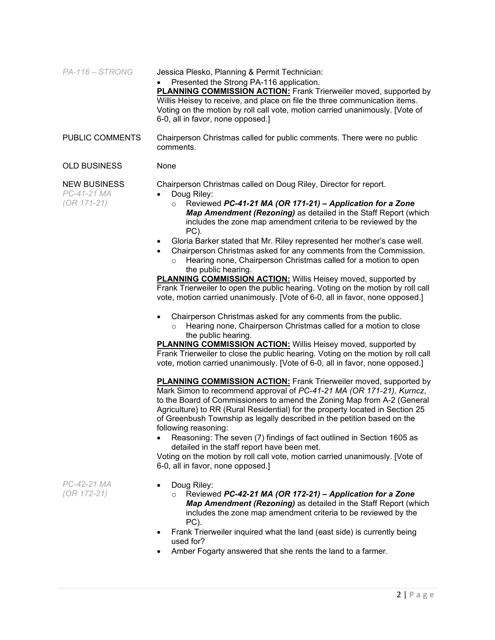| PA-116 - STRONG                                     | Jessica Plesko, Planning & Permit Technician:<br>Presented the Strong PA-116 application.<br>PLANNING COMMISSION ACTION: Frank Trierweiler moved, supported by<br>Willis Heisey to receive, and place on file the three communication items.<br>Voting on the motion by roll call vote, motion carried unanimously. [Vote of<br>6-0, all in favor, none opposed.]                                                                                                                                                                                                                                                                                                                                                                                                                                                                                                                                                                                                                                                                                                                                                                                                                                                                                                                                                                                                                                                                                                                                                                                                                                                                                                                                                                                                                                                                                                    |
|-----------------------------------------------------|----------------------------------------------------------------------------------------------------------------------------------------------------------------------------------------------------------------------------------------------------------------------------------------------------------------------------------------------------------------------------------------------------------------------------------------------------------------------------------------------------------------------------------------------------------------------------------------------------------------------------------------------------------------------------------------------------------------------------------------------------------------------------------------------------------------------------------------------------------------------------------------------------------------------------------------------------------------------------------------------------------------------------------------------------------------------------------------------------------------------------------------------------------------------------------------------------------------------------------------------------------------------------------------------------------------------------------------------------------------------------------------------------------------------------------------------------------------------------------------------------------------------------------------------------------------------------------------------------------------------------------------------------------------------------------------------------------------------------------------------------------------------------------------------------------------------------------------------------------------------|
| PUBLIC COMMENTS                                     | Chairperson Christmas called for public comments. There were no public<br>comments.                                                                                                                                                                                                                                                                                                                                                                                                                                                                                                                                                                                                                                                                                                                                                                                                                                                                                                                                                                                                                                                                                                                                                                                                                                                                                                                                                                                                                                                                                                                                                                                                                                                                                                                                                                                  |
| <b>OLD BUSINESS</b>                                 | None                                                                                                                                                                                                                                                                                                                                                                                                                                                                                                                                                                                                                                                                                                                                                                                                                                                                                                                                                                                                                                                                                                                                                                                                                                                                                                                                                                                                                                                                                                                                                                                                                                                                                                                                                                                                                                                                 |
| <b>NEW BUSINESS</b><br>PC-41-21 MA<br>$(OR 171-21)$ | Chairperson Christmas called on Doug Riley, Director for report.<br>Doug Riley:<br>Reviewed PC-41-21 MA (OR 171-21) - Application for a Zone<br>$\circ$<br>Map Amendment (Rezoning) as detailed in the Staff Report (which<br>includes the zone map amendment criteria to be reviewed by the<br>PC).<br>Gloria Barker stated that Mr. Riley represented her mother's case well.<br>٠<br>Chairperson Christmas asked for any comments from the Commission.<br>Hearing none, Chairperson Christmas called for a motion to open<br>$\circ$<br>the public hearing.<br><b>PLANNING COMMISSION ACTION:</b> Willis Heisey moved, supported by<br>Frank Trierweiler to open the public hearing. Voting on the motion by roll call<br>vote, motion carried unanimously. [Vote of 6-0, all in favor, none opposed.]<br>Chairperson Christmas asked for any comments from the public.<br>$\bullet$<br>Hearing none, Chairperson Christmas called for a motion to close<br>$\circ$<br>the public hearing.<br><b>PLANNING COMMISSION ACTION:</b> Willis Heisey moved, supported by<br>Frank Trierweiler to close the public hearing. Voting on the motion by roll call<br>vote, motion carried unanimously. [Vote of 6-0, all in favor, none opposed.]<br><b>PLANNING COMMISSION ACTION:</b> Frank Trierweiler moved, supported by<br>Mark Simon to recommend approval of PC-41-21 MA (OR 171-21), Kurncz,<br>to the Board of Commissioners to amend the Zoning Map from A-2 (General<br>Agriculture) to RR (Rural Residential) for the property located in Section 25<br>of Greenbush Township as legally described in the petition based on the<br>following reasoning:<br>Reasoning: The seven (7) findings of fact outlined in Section 1605 as<br>detailed in the staff report have been met.<br>Voting on the motion by roll call vote, motion carried unanimously. [Vote of |
| PC-42-21 MA<br>(OR 172-21)                          | 6-0, all in favor, none opposed.]<br>Doug Riley:<br>Reviewed PC-42-21 MA (OR 172-21) - Application for a Zone<br>$\circ$<br>Map Amendment (Rezoning) as detailed in the Staff Report (which<br>includes the zone map amendment criteria to be reviewed by the<br>PC).<br>Frank Trierweiler inquired what the land (east side) is currently being<br>٠<br>used for?<br>Amber Fogarty answered that she rents the land to a farmer.                                                                                                                                                                                                                                                                                                                                                                                                                                                                                                                                                                                                                                                                                                                                                                                                                                                                                                                                                                                                                                                                                                                                                                                                                                                                                                                                                                                                                                    |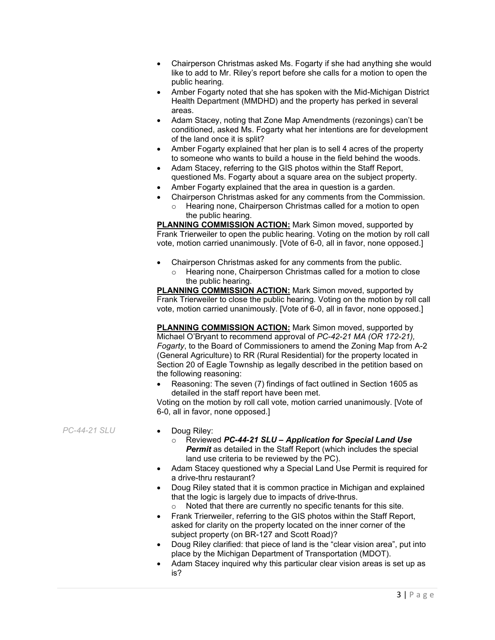- Chairperson Christmas asked Ms. Fogarty if she had anything she would like to add to Mr. Riley's report before she calls for a motion to open the public hearing.
- Amber Fogarty noted that she has spoken with the Mid-Michigan District Health Department (MMDHD) and the property has perked in several areas.
- Adam Stacey, noting that Zone Map Amendments (rezonings) can't be conditioned, asked Ms. Fogarty what her intentions are for development of the land once it is split?
- Amber Fogarty explained that her plan is to sell 4 acres of the property to someone who wants to build a house in the field behind the woods.
- Adam Stacey, referring to the GIS photos within the Staff Report, questioned Ms. Fogarty about a square area on the subject property.
- Amber Fogarty explained that the area in question is a garden.
	- Chairperson Christmas asked for any comments from the Commission. o Hearing none, Chairperson Christmas called for a motion to open
		- the public hearing.

**PLANNING COMMISSION ACTION:** Mark Simon moved, supported by Frank Trierweiler to open the public hearing. Voting on the motion by roll call vote, motion carried unanimously. [Vote of 6-0, all in favor, none opposed.]

- Chairperson Christmas asked for any comments from the public.
	- Hearing none, Chairperson Christmas called for a motion to close the public hearing.

**PLANNING COMMISSION ACTION:** Mark Simon moved, supported by Frank Trierweiler to close the public hearing. Voting on the motion by roll call vote, motion carried unanimously. [Vote of 6-0, all in favor, none opposed.]

**PLANNING COMMISSION ACTION:** Mark Simon moved, supported by Michael O'Bryant to recommend approval of *PC-42-21 MA (OR 172-21), Fogarty*, to the Board of Commissioners to amend the Zoning Map from A-2 (General Agriculture) to RR (Rural Residential) for the property located in Section 20 of Eagle Township as legally described in the petition based on the following reasoning:

• Reasoning: The seven (7) findings of fact outlined in Section 1605 as detailed in the staff report have been met.

Voting on the motion by roll call vote, motion carried unanimously. [Vote of 6-0, all in favor, none opposed.]

*PC-44-21 SLU* • Doug Riley:

- - o Reviewed *PC-44-21 SLU – Application for Special Land Use*  **Permit** as detailed in the Staff Report (which includes the special land use criteria to be reviewed by the PC).
- Adam Stacey questioned why a Special Land Use Permit is required for a drive-thru restaurant?
- Doug Riley stated that it is common practice in Michigan and explained that the logic is largely due to impacts of drive-thrus.
	- o Noted that there are currently no specific tenants for this site.
- Frank Trierweiler, referring to the GIS photos within the Staff Report, asked for clarity on the property located on the inner corner of the subject property (on BR-127 and Scott Road)?
- Doug Riley clarified: that piece of land is the "clear vision area", put into place by the Michigan Department of Transportation (MDOT).
- Adam Stacey inquired why this particular clear vision areas is set up as is?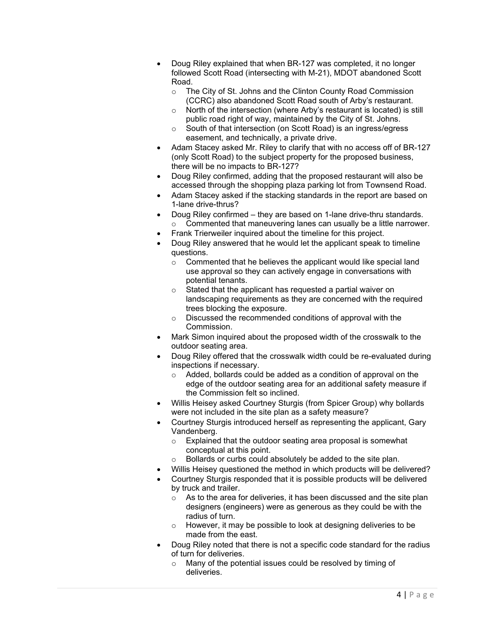- Doug Riley explained that when BR-127 was completed, it no longer followed Scott Road (intersecting with M-21), MDOT abandoned Scott Road.
	- o The City of St. Johns and the Clinton County Road Commission (CCRC) also abandoned Scott Road south of Arby's restaurant.
	- o North of the intersection (where Arby's restaurant is located) is still public road right of way, maintained by the City of St. Johns.
	- o South of that intersection (on Scott Road) is an ingress/egress easement, and technically, a private drive.
- Adam Stacey asked Mr. Riley to clarify that with no access off of BR-127 (only Scott Road) to the subject property for the proposed business, there will be no impacts to BR-127?
- Doug Riley confirmed, adding that the proposed restaurant will also be accessed through the shopping plaza parking lot from Townsend Road.
- Adam Stacey asked if the stacking standards in the report are based on 1-lane drive-thrus?
- Doug Riley confirmed they are based on 1-lane drive-thru standards.  $\circ$  Commented that maneuvering lanes can usually be a little narrower.
- Frank Trierweiler inquired about the timeline for this project.
- Doug Riley answered that he would let the applicant speak to timeline questions.
	- $\circ$  Commented that he believes the applicant would like special land use approval so they can actively engage in conversations with potential tenants.
	- o Stated that the applicant has requested a partial waiver on landscaping requirements as they are concerned with the required trees blocking the exposure.
	- o Discussed the recommended conditions of approval with the Commission.
- Mark Simon inquired about the proposed width of the crosswalk to the outdoor seating area.
- Doug Riley offered that the crosswalk width could be re-evaluated during inspections if necessary.
	- $\circ$  Added, bollards could be added as a condition of approval on the edge of the outdoor seating area for an additional safety measure if the Commission felt so inclined.
- Willis Heisey asked Courtney Sturgis (from Spicer Group) why bollards were not included in the site plan as a safety measure?
- Courtney Sturgis introduced herself as representing the applicant, Gary Vandenberg.
	- $\circ$  Explained that the outdoor seating area proposal is somewhat conceptual at this point.
	- Bollards or curbs could absolutely be added to the site plan.
- Willis Heisey questioned the method in which products will be delivered?
- Courtney Sturgis responded that it is possible products will be delivered by truck and trailer.
	- o As to the area for deliveries, it has been discussed and the site plan designers (engineers) were as generous as they could be with the radius of turn.
	- $\circ$  However, it may be possible to look at designing deliveries to be made from the east.
- Doug Riley noted that there is not a specific code standard for the radius of turn for deliveries.
	- o Many of the potential issues could be resolved by timing of deliveries.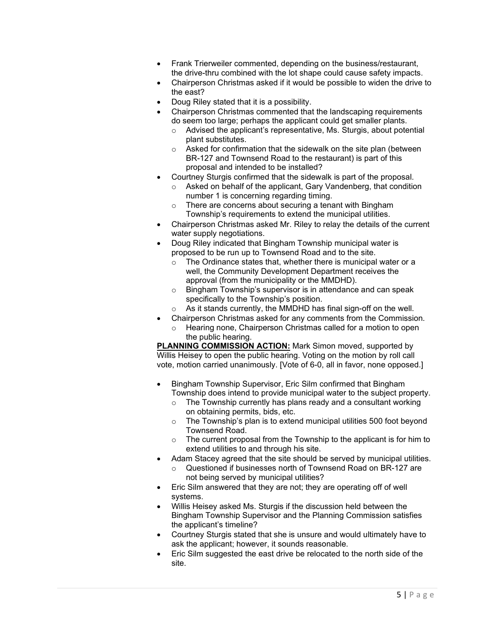- Frank Trierweiler commented, depending on the business/restaurant, the drive-thru combined with the lot shape could cause safety impacts.
- Chairperson Christmas asked if it would be possible to widen the drive to the east?
- Doug Riley stated that it is a possibility.
- Chairperson Christmas commented that the landscaping requirements do seem too large; perhaps the applicant could get smaller plants.
	- o Advised the applicant's representative, Ms. Sturgis, about potential plant substitutes.
	- o Asked for confirmation that the sidewalk on the site plan (between BR-127 and Townsend Road to the restaurant) is part of this proposal and intended to be installed?
- Courtney Sturgis confirmed that the sidewalk is part of the proposal.
	- o Asked on behalf of the applicant, Gary Vandenberg, that condition number 1 is concerning regarding timing.
	- o There are concerns about securing a tenant with Bingham Township's requirements to extend the municipal utilities.
- Chairperson Christmas asked Mr. Riley to relay the details of the current water supply negotiations.
- Doug Riley indicated that Bingham Township municipal water is proposed to be run up to Townsend Road and to the site.
	- o The Ordinance states that, whether there is municipal water or a well, the Community Development Department receives the approval (from the municipality or the MMDHD).
	- o Bingham Township's supervisor is in attendance and can speak specifically to the Township's position.
	- $\circ$  As it stands currently, the MMDHD has final sign-off on the well.
	- Chairperson Christmas asked for any comments from the Commission.
	- Hearing none, Chairperson Christmas called for a motion to open the public hearing.

**PLANNING COMMISSION ACTION:** Mark Simon moved, supported by Willis Heisey to open the public hearing. Voting on the motion by roll call vote, motion carried unanimously. [Vote of 6-0, all in favor, none opposed.]

- Bingham Township Supervisor, Eric Silm confirmed that Bingham Township does intend to provide municipal water to the subject property.
	- $\circ$  The Township currently has plans ready and a consultant working on obtaining permits, bids, etc.
	- o The Township's plan is to extend municipal utilities 500 foot beyond Townsend Road.
	- o The current proposal from the Township to the applicant is for him to extend utilities to and through his site.
- Adam Stacey agreed that the site should be served by municipal utilities.
	- o Questioned if businesses north of Townsend Road on BR-127 are not being served by municipal utilities?
- Eric Silm answered that they are not; they are operating off of well systems.
- Willis Heisey asked Ms. Sturgis if the discussion held between the Bingham Township Supervisor and the Planning Commission satisfies the applicant's timeline?
- Courtney Sturgis stated that she is unsure and would ultimately have to ask the applicant; however, it sounds reasonable.
- Eric Silm suggested the east drive be relocated to the north side of the site.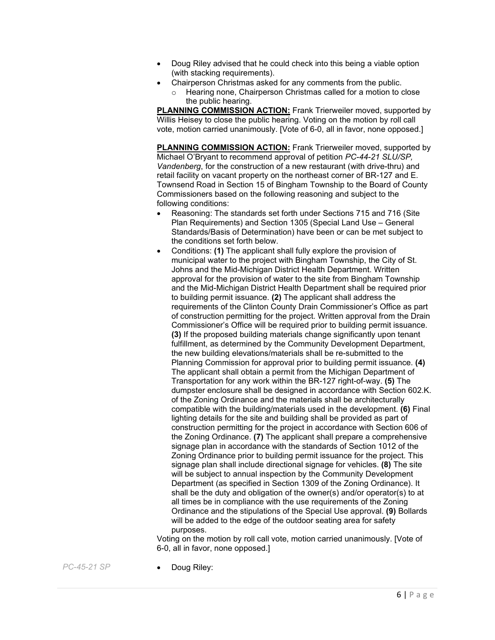- Doug Riley advised that he could check into this being a viable option (with stacking requirements).
- Chairperson Christmas asked for any comments from the public.
	- o Hearing none, Chairperson Christmas called for a motion to close the public hearing.

**PLANNING COMMISSION ACTION:** Frank Trierweiler moved, supported by Willis Heisey to close the public hearing. Voting on the motion by roll call vote, motion carried unanimously. [Vote of 6-0, all in favor, none opposed.]

**PLANNING COMMISSION ACTION:** Frank Trierweiler moved, supported by Michael O'Bryant to recommend approval of petition *PC-44-21 SLU/SP, Vandenberg*, for the construction of a new restaurant (with drive-thru) and retail facility on vacant property on the northeast corner of BR-127 and E. Townsend Road in Section 15 of Bingham Township to the Board of County Commissioners based on the following reasoning and subject to the following conditions:

- Reasoning: The standards set forth under Sections 715 and 716 (Site Plan Requirements) and Section 1305 (Special Land Use – General Standards/Basis of Determination) have been or can be met subject to the conditions set forth below.
- Conditions: **(1)** The applicant shall fully explore the provision of municipal water to the project with Bingham Township, the City of St. Johns and the Mid-Michigan District Health Department. Written approval for the provision of water to the site from Bingham Township and the Mid-Michigan District Health Department shall be required prior to building permit issuance. **(2)** The applicant shall address the requirements of the Clinton County Drain Commissioner's Office as part of construction permitting for the project. Written approval from the Drain Commissioner's Office will be required prior to building permit issuance. **(3)** If the proposed building materials change significantly upon tenant fulfillment, as determined by the Community Development Department, the new building elevations/materials shall be re-submitted to the Planning Commission for approval prior to building permit issuance. **(4)**  The applicant shall obtain a permit from the Michigan Department of Transportation for any work within the BR-127 right-of-way. **(5)** The dumpster enclosure shall be designed in accordance with Section 602.K. of the Zoning Ordinance and the materials shall be architecturally compatible with the building/materials used in the development. **(6)** Final lighting details for the site and building shall be provided as part of construction permitting for the project in accordance with Section 606 of the Zoning Ordinance. **(7)** The applicant shall prepare a comprehensive signage plan in accordance with the standards of Section 1012 of the Zoning Ordinance prior to building permit issuance for the project. This signage plan shall include directional signage for vehicles. **(8)** The site will be subject to annual inspection by the Community Development Department (as specified in Section 1309 of the Zoning Ordinance). It shall be the duty and obligation of the owner(s) and/or operator(s) to at all times be in compliance with the use requirements of the Zoning Ordinance and the stipulations of the Special Use approval. **(9)** Bollards will be added to the edge of the outdoor seating area for safety purposes.

Voting on the motion by roll call vote, motion carried unanimously. [Vote of 6-0, all in favor, none opposed.]

*PC-45-21 SP* • Doug Riley: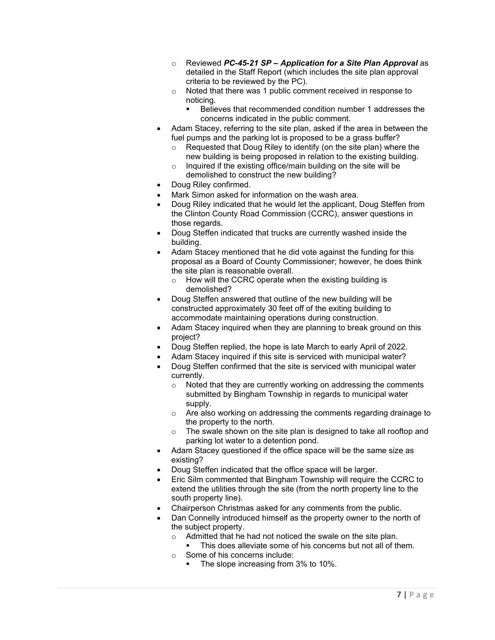- o Reviewed *PC-45-21 SP – Application for a Site Plan Approval* as detailed in the Staff Report (which includes the site plan approval criteria to be reviewed by the PC).
- o Noted that there was 1 public comment received in response to noticing.
	- Believes that recommended condition number 1 addresses the concerns indicated in the public comment.
- Adam Stacey, referring to the site plan, asked if the area in between the fuel pumps and the parking lot is proposed to be a grass buffer?
	- $\circ$  Requested that Doug Riley to identify (on the site plan) where the new building is being proposed in relation to the existing building.
	- o Inquired if the existing office/main building on the site will be demolished to construct the new building?
- Doug Riley confirmed.
- Mark Simon asked for information on the wash area.
- Doug Riley indicated that he would let the applicant, Doug Steffen from the Clinton County Road Commission (CCRC), answer questions in those regards.
- Doug Steffen indicated that trucks are currently washed inside the building.
- Adam Stacey mentioned that he did vote against the funding for this proposal as a Board of County Commissioner; however, he does think the site plan is reasonable overall.
	- o How will the CCRC operate when the existing building is demolished?
- Doug Steffen answered that outline of the new building will be constructed approximately 30 feet off of the exiting building to accommodate maintaining operations during construction.
- Adam Stacey inquired when they are planning to break ground on this project?
- Doug Steffen replied, the hope is late March to early April of 2022.
- Adam Stacey inquired if this site is serviced with municipal water?
- Doug Steffen confirmed that the site is serviced with municipal water currently.
	- $\circ$  Noted that they are currently working on addressing the comments submitted by Bingham Township in regards to municipal water supply.
	- o Are also working on addressing the comments regarding drainage to the property to the north.
	- $\circ$  The swale shown on the site plan is designed to take all rooftop and parking lot water to a detention pond.
- Adam Stacey questioned if the office space will be the same size as existing?
- Doug Steffen indicated that the office space will be larger.
- Eric Silm commented that Bingham Township will require the CCRC to extend the utilities through the site (from the north property line to the south property line).
- Chairperson Christmas asked for any comments from the public.
- Dan Connelly introduced himself as the property owner to the north of the subject property.
	- o Admitted that he had not noticed the swale on the site plan.
	- This does alleviate some of his concerns but not all of them.
	- o Some of his concerns include:
		- The slope increasing from 3% to 10%.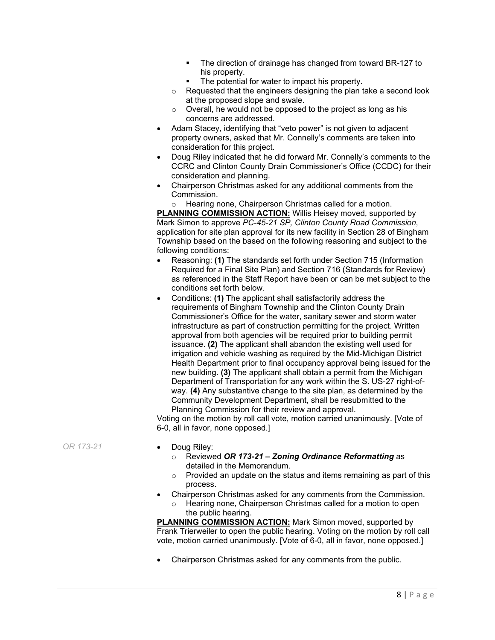- The direction of drainage has changed from toward BR-127 to his property.
- The potential for water to impact his property.
- $\circ$  Requested that the engineers designing the plan take a second look at the proposed slope and swale.
- o Overall, he would not be opposed to the project as long as his concerns are addressed.
- Adam Stacey, identifying that "veto power" is not given to adjacent property owners, asked that Mr. Connelly's comments are taken into consideration for this project.
- Doug Riley indicated that he did forward Mr. Connelly's comments to the CCRC and Clinton County Drain Commissioner's Office (CCDC) for their consideration and planning.
- Chairperson Christmas asked for any additional comments from the Commission.

o Hearing none, Chairperson Christmas called for a motion.

**PLANNING COMMISSION ACTION:** Willis Heisey moved, supported by Mark Simon to approve *PC-45-21 SP, Clinton County Road Commission*, application for site plan approval for its new facility in Section 28 of Bingham Township based on the based on the following reasoning and subject to the following conditions:

- Reasoning: **(1)** The standards set forth under Section 715 (Information Required for a Final Site Plan) and Section 716 (Standards for Review) as referenced in the Staff Report have been or can be met subject to the conditions set forth below.
- Conditions: **(1)** The applicant shall satisfactorily address the requirements of Bingham Township and the Clinton County Drain Commissioner's Office for the water, sanitary sewer and storm water infrastructure as part of construction permitting for the project. Written approval from both agencies will be required prior to building permit issuance. **(2)** The applicant shall abandon the existing well used for irrigation and vehicle washing as required by the Mid-Michigan District Health Department prior to final occupancy approval being issued for the new building. **(3)** The applicant shall obtain a permit from the Michigan Department of Transportation for any work within the S. US-27 right-ofway. **(4)** Any substantive change to the site plan, as determined by the Community Development Department, shall be resubmitted to the Planning Commission for their review and approval.

Voting on the motion by roll call vote, motion carried unanimously. [Vote of 6-0, all in favor, none opposed.]

- *OR 173-21* Doug Riley:
	- - o Reviewed *OR 173-21 – Zoning Ordinance Reformatting* as detailed in the Memorandum.
		- o Provided an update on the status and items remaining as part of this process.
		- Chairperson Christmas asked for any comments from the Commission. Hearing none, Chairperson Christmas called for a motion to open
			- the public hearing.

**PLANNING COMMISSION ACTION:** Mark Simon moved, supported by Frank Trierweiler to open the public hearing. Voting on the motion by roll call vote, motion carried unanimously. [Vote of 6-0, all in favor, none opposed.]

• Chairperson Christmas asked for any comments from the public.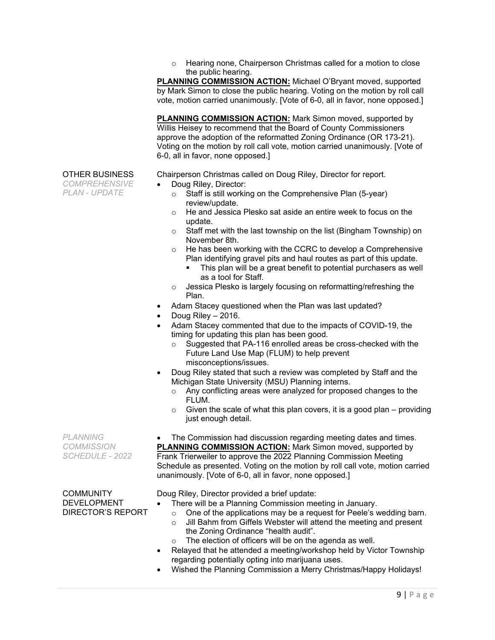o Hearing none, Chairperson Christmas called for a motion to close the public hearing.

**PLANNING COMMISSION ACTION:** Michael O'Bryant moved, supported by Mark Simon to close the public hearing. Voting on the motion by roll call vote, motion carried unanimously. [Vote of 6-0, all in favor, none opposed.]

**PLANNING COMMISSION ACTION:** Mark Simon moved, supported by Willis Heisey to recommend that the Board of County Commissioners approve the adoption of the reformatted Zoning Ordinance (OR 173-21). Voting on the motion by roll call vote, motion carried unanimously. [Vote of 6-0, all in favor, none opposed.]

Chairperson Christmas called on Doug Riley, Director for report.

- Doug Riley, Director:
	- Staff is still working on the Comprehensive Plan (5-year) review/update.
	- o He and Jessica Plesko sat aside an entire week to focus on the update.
	- o Staff met with the last township on the list (Bingham Township) on November 8th.
	- $\circ$  He has been working with the CCRC to develop a Comprehensive Plan identifying gravel pits and haul routes as part of this update.
		- This plan will be a great benefit to potential purchasers as well as a tool for Staff.
	- $\circ$  Jessica Plesko is largely focusing on reformatting/refreshing the Plan.
- Adam Stacey questioned when the Plan was last updated?
- Doug Riley 2016.
- Adam Stacey commented that due to the impacts of COVID-19, the timing for updating this plan has been good.
	- o Suggested that PA-116 enrolled areas be cross-checked with the Future Land Use Map (FLUM) to help prevent misconceptions/issues.
- Doug Riley stated that such a review was completed by Staff and the Michigan State University (MSU) Planning interns.
	- o Any conflicting areas were analyzed for proposed changes to the FLUM.
	- $\circ$  Given the scale of what this plan covers, it is a good plan providing just enough detail.

The Commission had discussion regarding meeting dates and times. **PLANNING COMMISSION ACTION:** Mark Simon moved, supported by Frank Trierweiler to approve the 2022 Planning Commission Meeting Schedule as presented. Voting on the motion by roll call vote, motion carried unanimously. [Vote of 6-0, all in favor, none opposed.]

**COMMUNITY** DEVELOPMENT DIRECTOR'S REPORT

*PLANNING COMMISSION SCHEDULE - 2022*

OTHER BUSINESS *COMPREHENSIVE PLAN - UPDATE*

- Doug Riley, Director provided a brief update:
	- There will be a Planning Commission meeting in January.
		- $\circ$  One of the applications may be a request for Peele's wedding barn.<br> $\circ$  Jill Bahm from Giffels Webster will attend the meeting and present
	- Jill Bahm from Giffels Webster will attend the meeting and present the Zoning Ordinance "health audit".
	- The election of officers will be on the agenda as well.
- Relayed that he attended a meeting/workshop held by Victor Township regarding potentially opting into marijuana uses.
- Wished the Planning Commission a Merry Christmas/Happy Holidays!